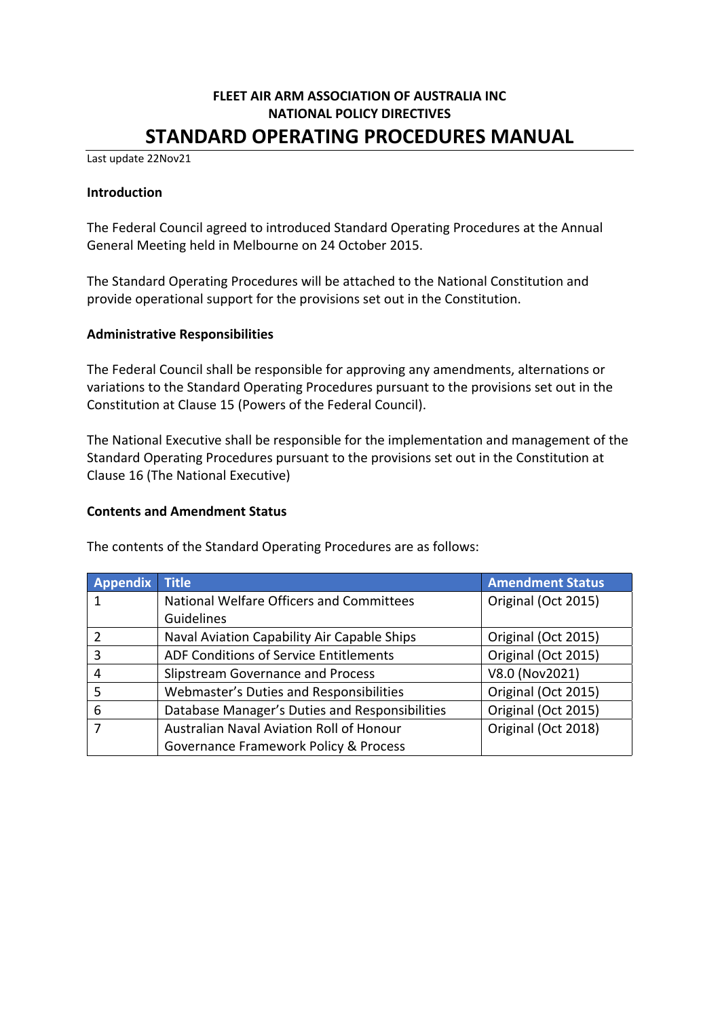# **FLEET AIR ARM ASSOCIATION OF AUSTRALIA INC NATIONAL POLICY DIRECTIVES STANDARD OPERATING PROCEDURES MANUAL**

Last update 22Nov21

#### **Introduction**

The Federal Council agreed to introduced Standard Operating Procedures at the Annual General Meeting held in Melbourne on 24 October 2015.

The Standard Operating Procedures will be attached to the National Constitution and provide operational support for the provisions set out in the Constitution.

### **Administrative Responsibilities**

The Federal Council shall be responsible for approving any amendments, alternations or variations to the Standard Operating Procedures pursuant to the provisions set out in the Constitution at Clause 15 (Powers of the Federal Council).

The National Executive shall be responsible for the implementation and management of the Standard Operating Procedures pursuant to the provisions set out in the Constitution at Clause 16 (The National Executive)

### **Contents and Amendment Status**

The contents of the Standard Operating Procedures are as follows:

| Appendix | <b>Title</b>                                   | <b>Amendment Status</b> |
|----------|------------------------------------------------|-------------------------|
|          | National Welfare Officers and Committees       | Original (Oct 2015)     |
|          | Guidelines                                     |                         |
| 2        | Naval Aviation Capability Air Capable Ships    | Original (Oct 2015)     |
| 3        | ADF Conditions of Service Entitlements         | Original (Oct 2015)     |
| 4        | Slipstream Governance and Process              | V8.0 (Nov2021)          |
| 5        | Webmaster's Duties and Responsibilities        | Original (Oct 2015)     |
| 6        | Database Manager's Duties and Responsibilities | Original (Oct 2015)     |
| 7        | Australian Naval Aviation Roll of Honour       | Original (Oct 2018)     |
|          | Governance Framework Policy & Process          |                         |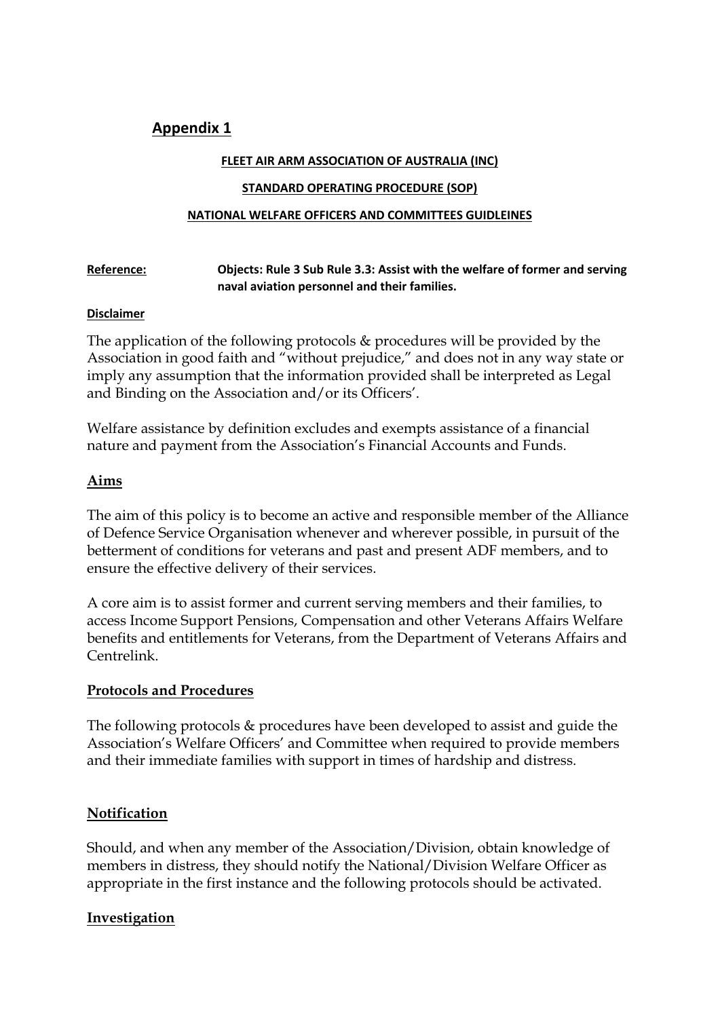# **Appendix 1**

### **FLEET AIR ARM ASSOCIATION OF AUSTRALIA (INC)**

### **STANDARD OPERATING PROCEDURE (SOP)**

### **NATIONAL WELFARE OFFICERS AND COMMITTEES GUIDLEINES**

| Reference: | Objects: Rule 3 Sub Rule 3.3: Assist with the welfare of former and serving |
|------------|-----------------------------------------------------------------------------|
|            | naval aviation personnel and their families.                                |

### **Disclaimer**

The application of the following protocols & procedures will be provided by the Association in good faith and "without prejudice," and does not in any way state or imply any assumption that the information provided shall be interpreted as Legal and Binding on the Association and/or its Officers'.

Welfare assistance by definition excludes and exempts assistance of a financial nature and payment from the Association's Financial Accounts and Funds.

## **Aims**

The aim of this policy is to become an active and responsible member of the Alliance of Defence Service Organisation whenever and wherever possible, in pursuit of the betterment of conditions for veterans and past and present ADF members, and to ensure the effective delivery of their services.

A core aim is to assist former and current serving members and their families, to access Income Support Pensions, Compensation and other Veterans Affairs Welfare benefits and entitlements for Veterans, from the Department of Veterans Affairs and Centrelink.

# **Protocols and Procedures**

The following protocols & procedures have been developed to assist and guide the Association's Welfare Officers' and Committee when required to provide members and their immediate families with support in times of hardship and distress.

# **Notification**

Should, and when any member of the Association/Division, obtain knowledge of members in distress, they should notify the National/Division Welfare Officer as appropriate in the first instance and the following protocols should be activated.

### **Investigation**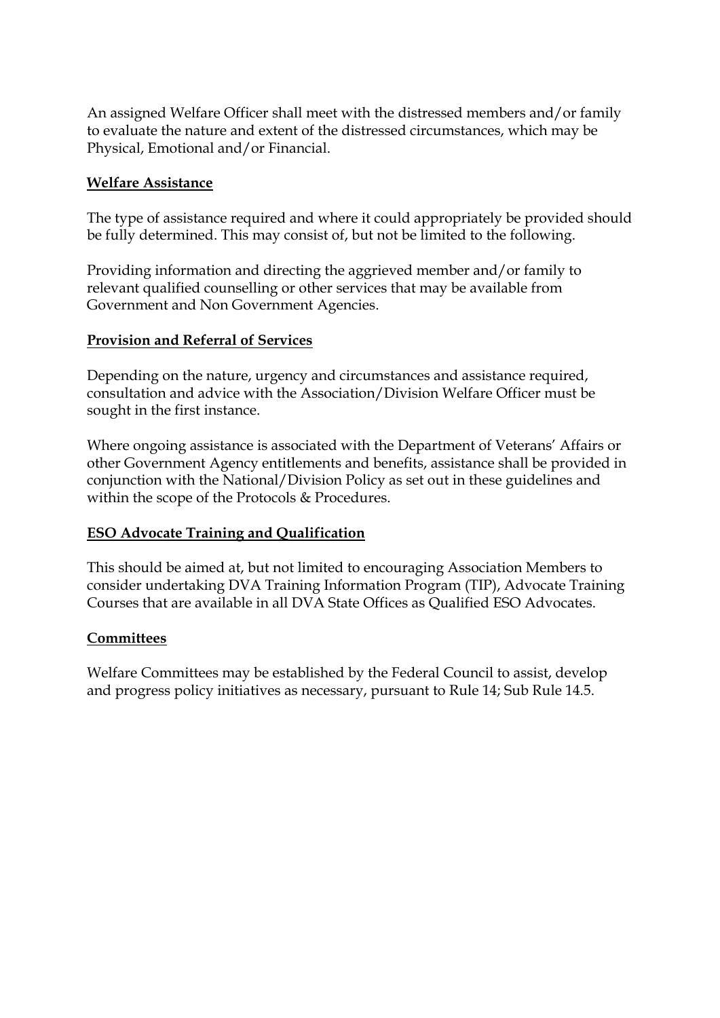An assigned Welfare Officer shall meet with the distressed members and/or family to evaluate the nature and extent of the distressed circumstances, which may be Physical, Emotional and/or Financial.

## **Welfare Assistance**

The type of assistance required and where it could appropriately be provided should be fully determined. This may consist of, but not be limited to the following.

Providing information and directing the aggrieved member and/or family to relevant qualified counselling or other services that may be available from Government and Non Government Agencies.

### **Provision and Referral of Services**

Depending on the nature, urgency and circumstances and assistance required, consultation and advice with the Association/Division Welfare Officer must be sought in the first instance.

Where ongoing assistance is associated with the Department of Veterans' Affairs or other Government Agency entitlements and benefits, assistance shall be provided in conjunction with the National/Division Policy as set out in these guidelines and within the scope of the Protocols & Procedures.

### **ESO Advocate Training and Qualification**

This should be aimed at, but not limited to encouraging Association Members to consider undertaking DVA Training Information Program (TIP), Advocate Training Courses that are available in all DVA State Offices as Qualified ESO Advocates.

### **Committees**

Welfare Committees may be established by the Federal Council to assist, develop and progress policy initiatives as necessary, pursuant to Rule 14; Sub Rule 14.5.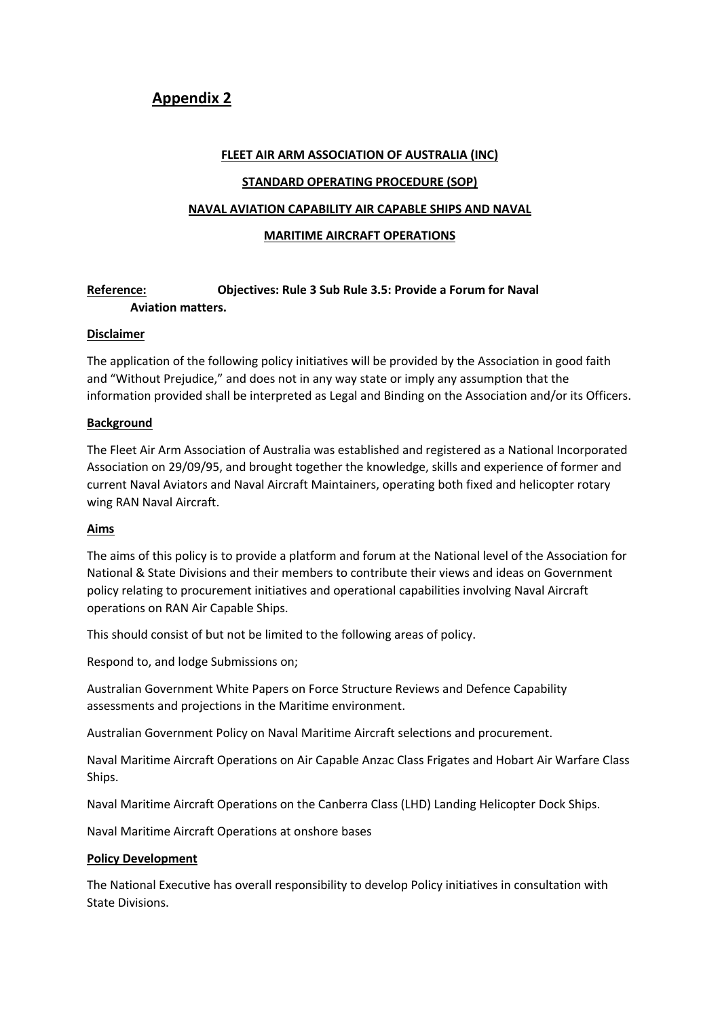# **Appendix 2**

#### **FLEET AIR ARM ASSOCIATION OF AUSTRALIA (INC)**

#### **STANDARD OPERATING PROCEDURE (SOP)**

### **NAVAL AVIATION CAPABILITY AIR CAPABLE SHIPS AND NAVAL**

#### **MARITIME AIRCRAFT OPERATIONS**

### **Reference: Objectives: Rule 3 Sub Rule 3.5: Provide a Forum for Naval Aviation matters.**

### **Disclaimer**

The application of the following policy initiatives will be provided by the Association in good faith and "Without Prejudice," and does not in any way state or imply any assumption that the information provided shall be interpreted as Legal and Binding on the Association and/or its Officers.

### **Background**

The Fleet Air Arm Association of Australia was established and registered as a National Incorporated Association on 29/09/95, and brought together the knowledge, skills and experience of former and current Naval Aviators and Naval Aircraft Maintainers, operating both fixed and helicopter rotary wing RAN Naval Aircraft.

### **Aims**

The aims of this policy is to provide a platform and forum at the National level of the Association for National & State Divisions and their members to contribute their views and ideas on Government policy relating to procurement initiatives and operational capabilities involving Naval Aircraft operations on RAN Air Capable Ships.

This should consist of but not be limited to the following areas of policy.

Respond to, and lodge Submissions on;

Australian Government White Papers on Force Structure Reviews and Defence Capability assessments and projections in the Maritime environment.

Australian Government Policy on Naval Maritime Aircraft selections and procurement.

Naval Maritime Aircraft Operations on Air Capable Anzac Class Frigates and Hobart Air Warfare Class Ships.

Naval Maritime Aircraft Operations on the Canberra Class (LHD) Landing Helicopter Dock Ships.

Naval Maritime Aircraft Operations at onshore bases

#### **Policy Development**

The National Executive has overall responsibility to develop Policy initiatives in consultation with State Divisions.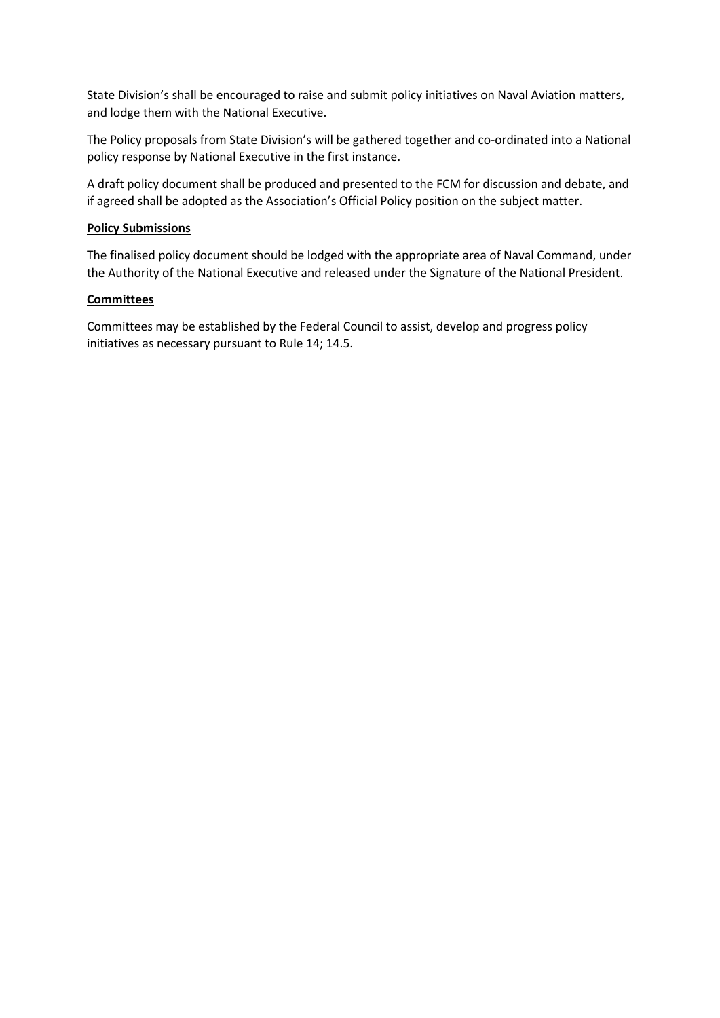State Division's shall be encouraged to raise and submit policy initiatives on Naval Aviation matters, and lodge them with the National Executive.

The Policy proposals from State Division's will be gathered together and co-ordinated into a National policy response by National Executive in the first instance.

A draft policy document shall be produced and presented to the FCM for discussion and debate, and if agreed shall be adopted as the Association's Official Policy position on the subject matter.

#### **Policy Submissions**

The finalised policy document should be lodged with the appropriate area of Naval Command, under the Authority of the National Executive and released under the Signature of the National President.

### **Committees**

Committees may be established by the Federal Council to assist, develop and progress policy initiatives as necessary pursuant to Rule 14; 14.5.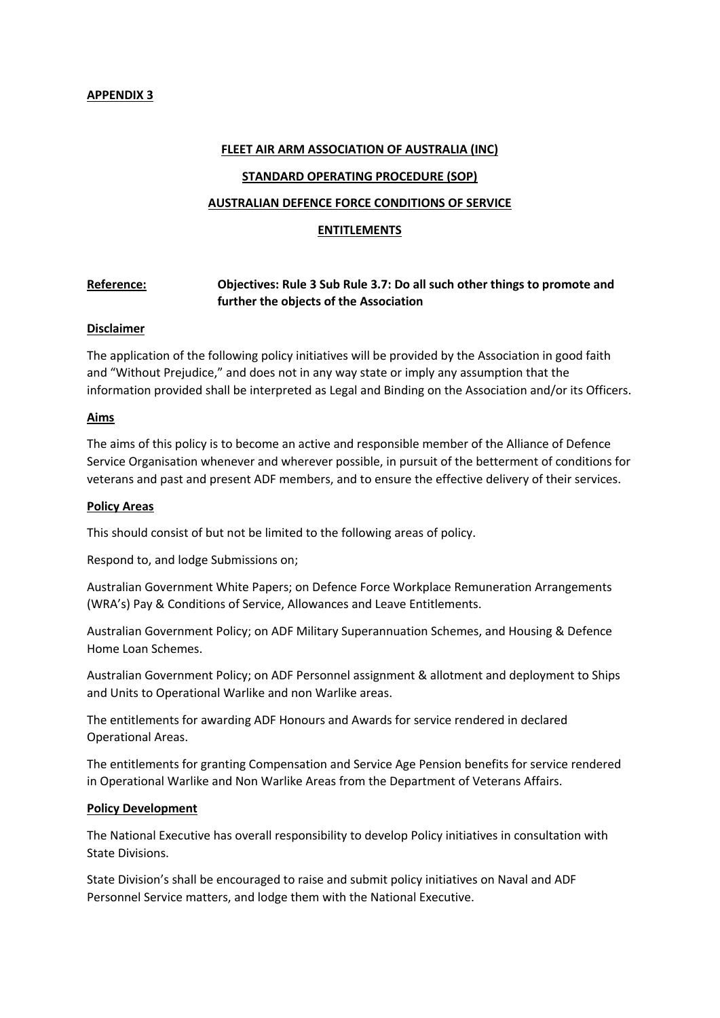#### **FLEET AIR ARM ASSOCIATION OF AUSTRALIA (INC)**

#### **STANDARD OPERATING PROCEDURE (SOP)**

#### **AUSTRALIAN DEFENCE FORCE CONDITIONS OF SERVICE**

#### **ENTITLEMENTS**

### **Reference: Objectives: Rule 3 Sub Rule 3.7: Do all such other things to promote and further the objects of the Association**

#### **Disclaimer**

The application of the following policy initiatives will be provided by the Association in good faith and "Without Prejudice," and does not in any way state or imply any assumption that the information provided shall be interpreted as Legal and Binding on the Association and/or its Officers.

#### **Aims**

The aims of this policy is to become an active and responsible member of the Alliance of Defence Service Organisation whenever and wherever possible, in pursuit of the betterment of conditions for veterans and past and present ADF members, and to ensure the effective delivery of their services.

#### **Policy Areas**

This should consist of but not be limited to the following areas of policy.

Respond to, and lodge Submissions on;

Australian Government White Papers; on Defence Force Workplace Remuneration Arrangements (WRA's) Pay & Conditions of Service, Allowances and Leave Entitlements.

Australian Government Policy; on ADF Military Superannuation Schemes, and Housing & Defence Home Loan Schemes.

Australian Government Policy; on ADF Personnel assignment & allotment and deployment to Ships and Units to Operational Warlike and non Warlike areas.

The entitlements for awarding ADF Honours and Awards for service rendered in declared Operational Areas.

The entitlements for granting Compensation and Service Age Pension benefits for service rendered in Operational Warlike and Non Warlike Areas from the Department of Veterans Affairs.

#### **Policy Development**

The National Executive has overall responsibility to develop Policy initiatives in consultation with State Divisions.

State Division's shall be encouraged to raise and submit policy initiatives on Naval and ADF Personnel Service matters, and lodge them with the National Executive.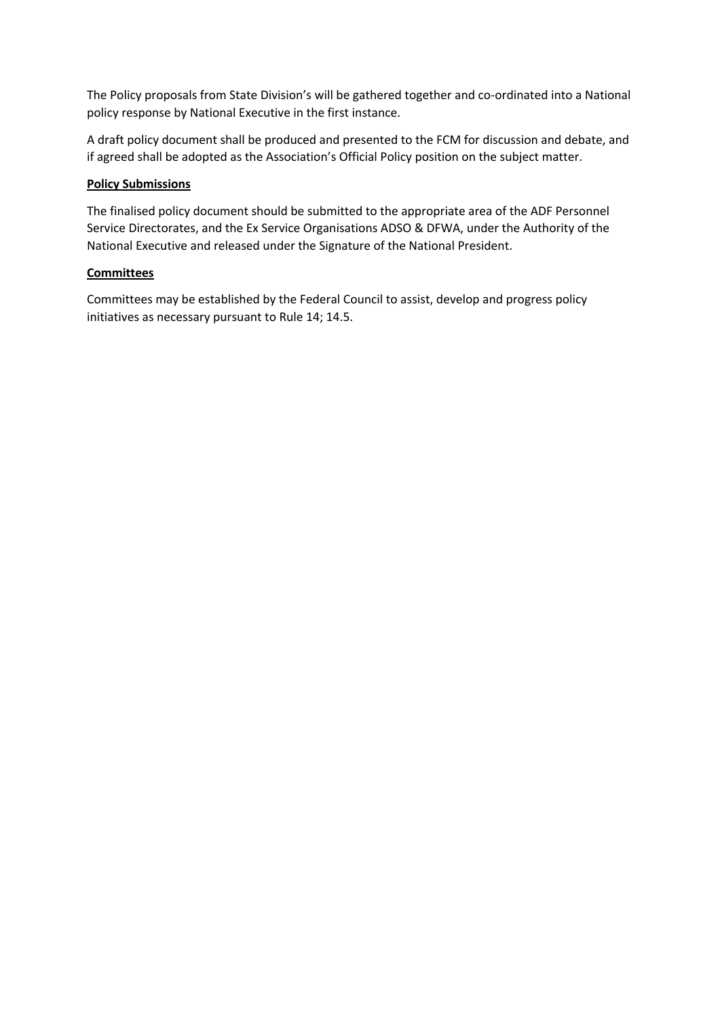The Policy proposals from State Division's will be gathered together and co-ordinated into a National policy response by National Executive in the first instance.

A draft policy document shall be produced and presented to the FCM for discussion and debate, and if agreed shall be adopted as the Association's Official Policy position on the subject matter.

### **Policy Submissions**

The finalised policy document should be submitted to the appropriate area of the ADF Personnel Service Directorates, and the Ex Service Organisations ADSO & DFWA, under the Authority of the National Executive and released under the Signature of the National President.

### **Committees**

Committees may be established by the Federal Council to assist, develop and progress policy initiatives as necessary pursuant to Rule 14; 14.5.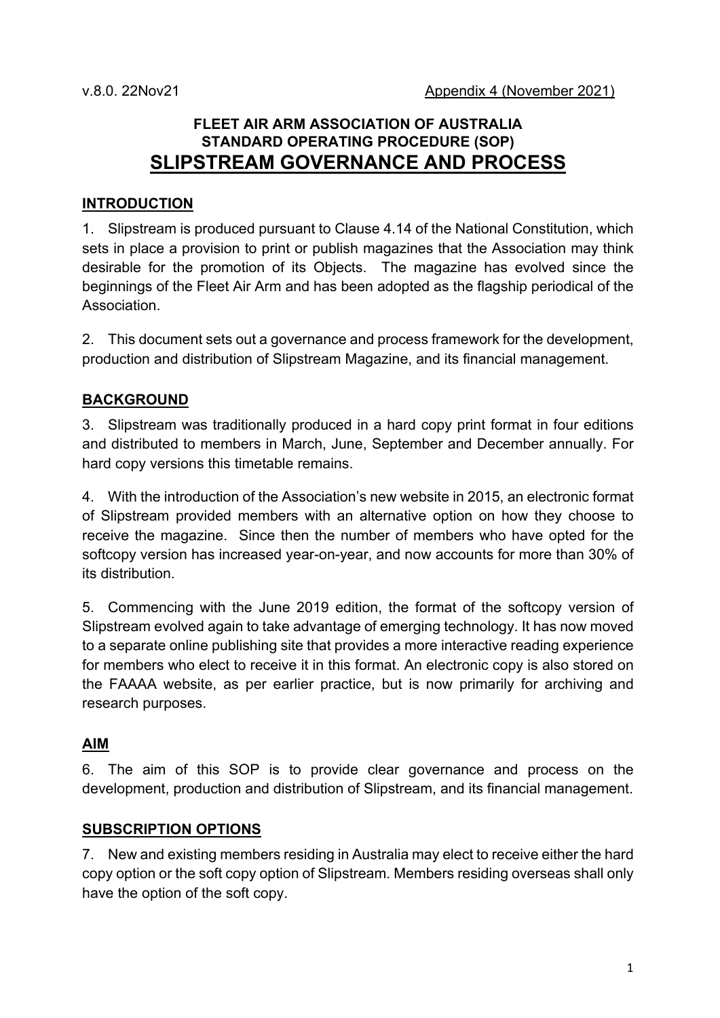# **FLEET AIR ARM ASSOCIATION OF AUSTRALIA STANDARD OPERATING PROCEDURE (SOP) SLIPSTREAM GOVERNANCE AND PROCESS**

### **INTRODUCTION**

1. Slipstream is produced pursuant to Clause 4.14 of the National Constitution, which sets in place a provision to print or publish magazines that the Association may think desirable for the promotion of its Objects. The magazine has evolved since the beginnings of the Fleet Air Arm and has been adopted as the flagship periodical of the Association.

2. This document sets out a governance and process framework for the development, production and distribution of Slipstream Magazine, and its financial management.

# **BACKGROUND**

3. Slipstream was traditionally produced in a hard copy print format in four editions and distributed to members in March, June, September and December annually. For hard copy versions this timetable remains.

4. With the introduction of the Association's new website in 2015, an electronic format of Slipstream provided members with an alternative option on how they choose to receive the magazine. Since then the number of members who have opted for the softcopy version has increased year-on-year, and now accounts for more than 30% of its distribution.

5. Commencing with the June 2019 edition, the format of the softcopy version of Slipstream evolved again to take advantage of emerging technology. It has now moved to a separate online publishing site that provides a more interactive reading experience for members who elect to receive it in this format. An electronic copy is also stored on the FAAAA website, as per earlier practice, but is now primarily for archiving and research purposes.

### **AIM**

6. The aim of this SOP is to provide clear governance and process on the development, production and distribution of Slipstream, and its financial management.

### **SUBSCRIPTION OPTIONS**

7. New and existing members residing in Australia may elect to receive either the hard copy option or the soft copy option of Slipstream. Members residing overseas shall only have the option of the soft copy.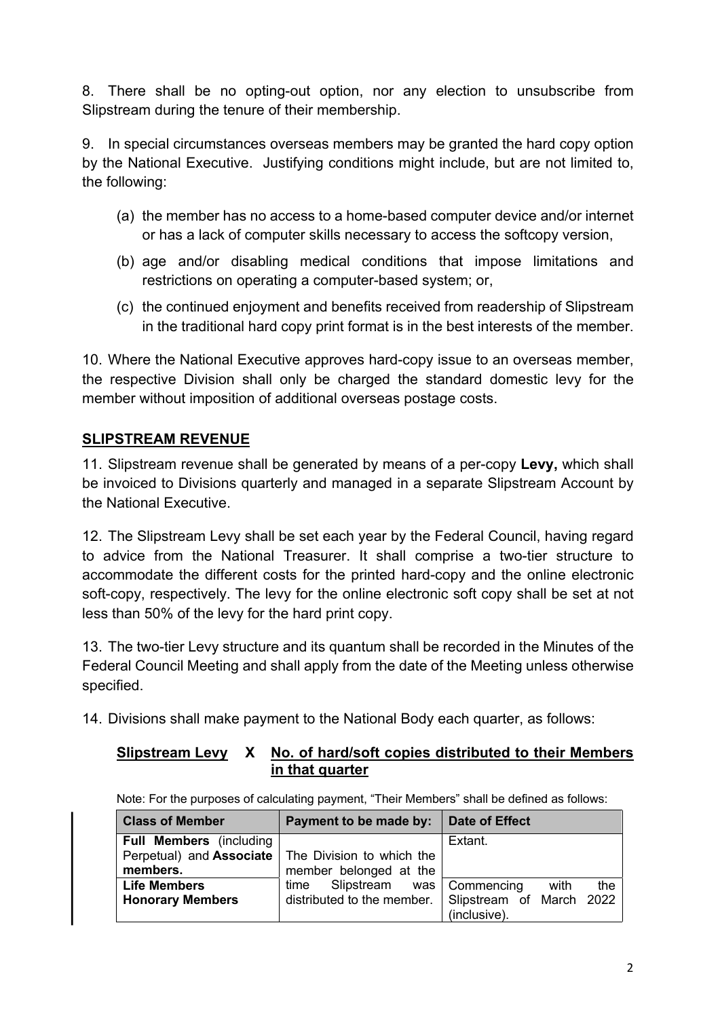8. There shall be no opting-out option, nor any election to unsubscribe from Slipstream during the tenure of their membership.

9. In special circumstances overseas members may be granted the hard copy option by the National Executive. Justifying conditions might include, but are not limited to, the following:

- (a) the member has no access to a home-based computer device and/or internet or has a lack of computer skills necessary to access the softcopy version,
- (b) age and/or disabling medical conditions that impose limitations and restrictions on operating a computer-based system; or,
- (c) the continued enjoyment and benefits received from readership of Slipstream in the traditional hard copy print format is in the best interests of the member.

10. Where the National Executive approves hard-copy issue to an overseas member, the respective Division shall only be charged the standard domestic levy for the member without imposition of additional overseas postage costs.

# **SLIPSTREAM REVENUE**

11. Slipstream revenue shall be generated by means of a per-copy **Levy,** which shall be invoiced to Divisions quarterly and managed in a separate Slipstream Account by the National Executive.

12. The Slipstream Levy shall be set each year by the Federal Council, having regard to advice from the National Treasurer. It shall comprise a two-tier structure to accommodate the different costs for the printed hard-copy and the online electronic soft-copy, respectively. The levy for the online electronic soft copy shall be set at not less than 50% of the levy for the hard print copy.

13. The two-tier Levy structure and its quantum shall be recorded in the Minutes of the Federal Council Meeting and shall apply from the date of the Meeting unless otherwise specified.

14. Divisions shall make payment to the National Body each quarter, as follows:

# **Slipstream Levy X No. of hard/soft copies distributed to their Members in that quarter**

| <b>Class of Member</b>                 | Payment to be made by:                              | Date of Effect                           |
|----------------------------------------|-----------------------------------------------------|------------------------------------------|
| <b>Full Members</b> (including         |                                                     | Extant.                                  |
| Perpetual) and Associate  <br>members. | The Division to which the<br>member belonged at the |                                          |
| <b>Life Members</b>                    | Slipstream<br>time                                  | was   Commencing<br>the<br>with          |
| <b>Honorary Members</b>                | distributed to the member.                          | Slipstream of March 2022<br>(inclusive). |

Note: For the purposes of calculating payment, "Their Members" shall be defined as follows: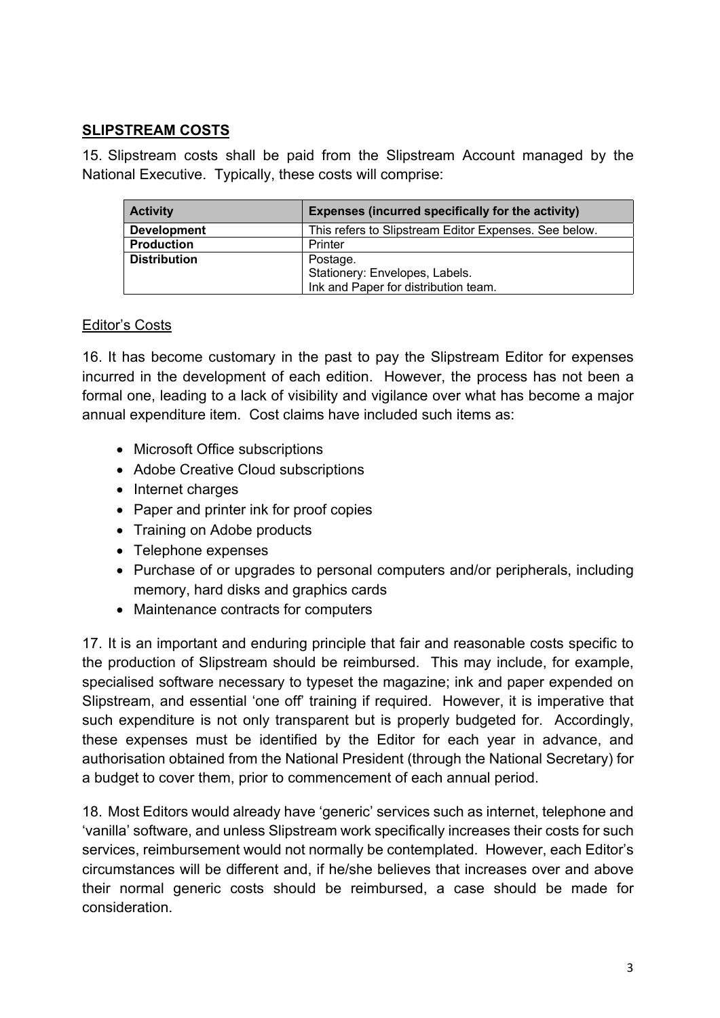# **SLIPSTREAM COSTS**

15. Slipstream costs shall be paid from the Slipstream Account managed by the National Executive. Typically, these costs will comprise:

| <b>Activity</b>     | Expenses (incurred specifically for the activity)     |
|---------------------|-------------------------------------------------------|
| <b>Development</b>  | This refers to Slipstream Editor Expenses. See below. |
| <b>Production</b>   | Printer                                               |
| <b>Distribution</b> | Postage.                                              |
|                     | Stationery: Envelopes, Labels.                        |
|                     | Ink and Paper for distribution team.                  |

## Editor's Costs

16. It has become customary in the past to pay the Slipstream Editor for expenses incurred in the development of each edition. However, the process has not been a formal one, leading to a lack of visibility and vigilance over what has become a major annual expenditure item. Cost claims have included such items as:

- Microsoft Office subscriptions
- Adobe Creative Cloud subscriptions
- Internet charges
- Paper and printer ink for proof copies
- Training on Adobe products
- Telephone expenses
- Purchase of or upgrades to personal computers and/or peripherals, including memory, hard disks and graphics cards
- Maintenance contracts for computers

17. It is an important and enduring principle that fair and reasonable costs specific to the production of Slipstream should be reimbursed. This may include, for example, specialised software necessary to typeset the magazine; ink and paper expended on Slipstream, and essential 'one off' training if required. However, it is imperative that such expenditure is not only transparent but is properly budgeted for. Accordingly, these expenses must be identified by the Editor for each year in advance, and authorisation obtained from the National President (through the National Secretary) for a budget to cover them, prior to commencement of each annual period.

18. Most Editors would already have 'generic' services such as internet, telephone and 'vanilla' software, and unless Slipstream work specifically increases their costs for such services, reimbursement would not normally be contemplated. However, each Editor's circumstances will be different and, if he/she believes that increases over and above their normal generic costs should be reimbursed, a case should be made for consideration.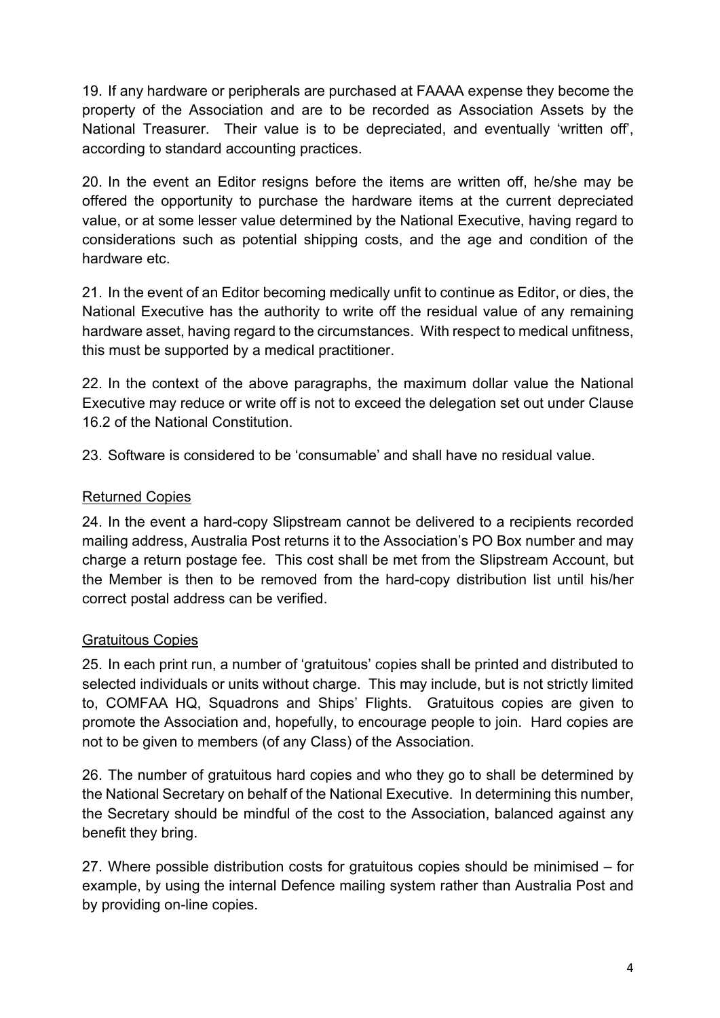19. If any hardware or peripherals are purchased at FAAAA expense they become the property of the Association and are to be recorded as Association Assets by the National Treasurer. Their value is to be depreciated, and eventually 'written off', according to standard accounting practices.

20. In the event an Editor resigns before the items are written off, he/she may be offered the opportunity to purchase the hardware items at the current depreciated value, or at some lesser value determined by the National Executive, having regard to considerations such as potential shipping costs, and the age and condition of the hardware etc.

21. In the event of an Editor becoming medically unfit to continue as Editor, or dies, the National Executive has the authority to write off the residual value of any remaining hardware asset, having regard to the circumstances. With respect to medical unfitness, this must be supported by a medical practitioner.

22. In the context of the above paragraphs, the maximum dollar value the National Executive may reduce or write off is not to exceed the delegation set out under Clause 16.2 of the National Constitution.

23. Software is considered to be 'consumable' and shall have no residual value.

# Returned Copies

24. In the event a hard-copy Slipstream cannot be delivered to a recipients recorded mailing address, Australia Post returns it to the Association's PO Box number and may charge a return postage fee. This cost shall be met from the Slipstream Account, but the Member is then to be removed from the hard-copy distribution list until his/her correct postal address can be verified.

# Gratuitous Copies

25. In each print run, a number of 'gratuitous' copies shall be printed and distributed to selected individuals or units without charge. This may include, but is not strictly limited to, COMFAA HQ, Squadrons and Ships' Flights. Gratuitous copies are given to promote the Association and, hopefully, to encourage people to join. Hard copies are not to be given to members (of any Class) of the Association.

26. The number of gratuitous hard copies and who they go to shall be determined by the National Secretary on behalf of the National Executive. In determining this number, the Secretary should be mindful of the cost to the Association, balanced against any benefit they bring.

27. Where possible distribution costs for gratuitous copies should be minimised – for example, by using the internal Defence mailing system rather than Australia Post and by providing on-line copies.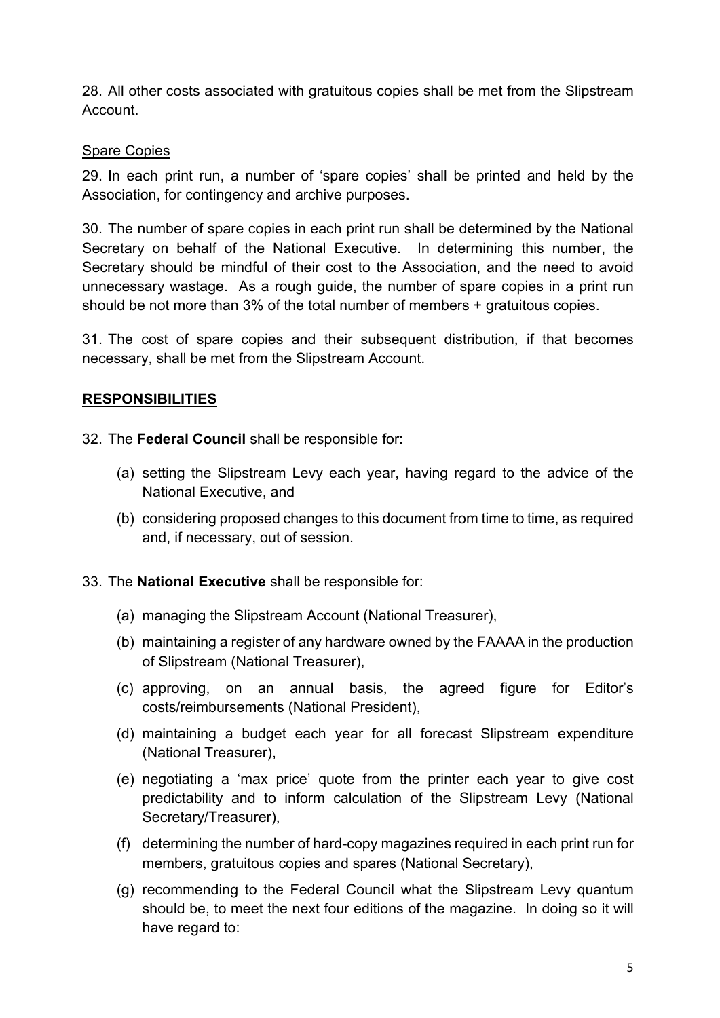28. All other costs associated with gratuitous copies shall be met from the Slipstream Account.

# Spare Copies

29. In each print run, a number of 'spare copies' shall be printed and held by the Association, for contingency and archive purposes.

30. The number of spare copies in each print run shall be determined by the National Secretary on behalf of the National Executive. In determining this number, the Secretary should be mindful of their cost to the Association, and the need to avoid unnecessary wastage. As a rough guide, the number of spare copies in a print run should be not more than 3% of the total number of members + gratuitous copies.

31. The cost of spare copies and their subsequent distribution, if that becomes necessary, shall be met from the Slipstream Account.

# **RESPONSIBILITIES**

32. The **Federal Council** shall be responsible for:

- (a) setting the Slipstream Levy each year, having regard to the advice of the National Executive, and
- (b) considering proposed changes to this document from time to time, as required and, if necessary, out of session.

# 33. The **National Executive** shall be responsible for:

- (a) managing the Slipstream Account (National Treasurer),
- (b) maintaining a register of any hardware owned by the FAAAA in the production of Slipstream (National Treasurer),
- (c) approving, on an annual basis, the agreed figure for Editor's costs/reimbursements (National President),
- (d) maintaining a budget each year for all forecast Slipstream expenditure (National Treasurer),
- (e) negotiating a 'max price' quote from the printer each year to give cost predictability and to inform calculation of the Slipstream Levy (National Secretary/Treasurer),
- (f) determining the number of hard-copy magazines required in each print run for members, gratuitous copies and spares (National Secretary),
- (g) recommending to the Federal Council what the Slipstream Levy quantum should be, to meet the next four editions of the magazine. In doing so it will have regard to: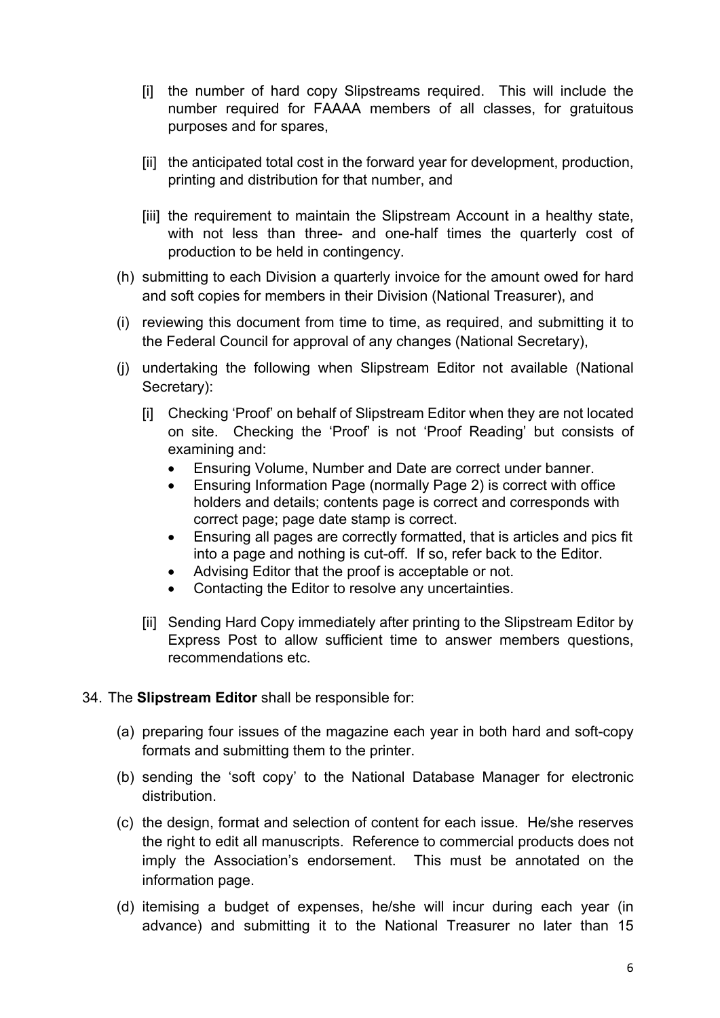- [i] the number of hard copy Slipstreams required. This will include the number required for FAAAA members of all classes, for gratuitous purposes and for spares,
- [ii] the anticipated total cost in the forward year for development, production, printing and distribution for that number, and
- [iii] the requirement to maintain the Slipstream Account in a healthy state, with not less than three- and one-half times the quarterly cost of production to be held in contingency.
- (h) submitting to each Division a quarterly invoice for the amount owed for hard and soft copies for members in their Division (National Treasurer), and
- (i) reviewing this document from time to time, as required, and submitting it to the Federal Council for approval of any changes (National Secretary),
- (j) undertaking the following when Slipstream Editor not available (National Secretary):
	- [i] Checking 'Proof' on behalf of Slipstream Editor when they are not located on site. Checking the 'Proof' is not 'Proof Reading' but consists of examining and:
		- Ensuring Volume, Number and Date are correct under banner.
		- Ensuring Information Page (normally Page 2) is correct with office holders and details; contents page is correct and corresponds with correct page; page date stamp is correct.
		- Ensuring all pages are correctly formatted, that is articles and pics fit into a page and nothing is cut-off. If so, refer back to the Editor.
		- Advising Editor that the proof is acceptable or not.
		- Contacting the Editor to resolve any uncertainties.
	- [ii] Sending Hard Copy immediately after printing to the Slipstream Editor by Express Post to allow sufficient time to answer members questions, recommendations etc.
- 34. The **Slipstream Editor** shall be responsible for:
	- (a) preparing four issues of the magazine each year in both hard and soft-copy formats and submitting them to the printer.
	- (b) sending the 'soft copy' to the National Database Manager for electronic distribution.
	- (c) the design, format and selection of content for each issue. He/she reserves the right to edit all manuscripts. Reference to commercial products does not imply the Association's endorsement. This must be annotated on the information page.
	- (d) itemising a budget of expenses, he/she will incur during each year (in advance) and submitting it to the National Treasurer no later than 15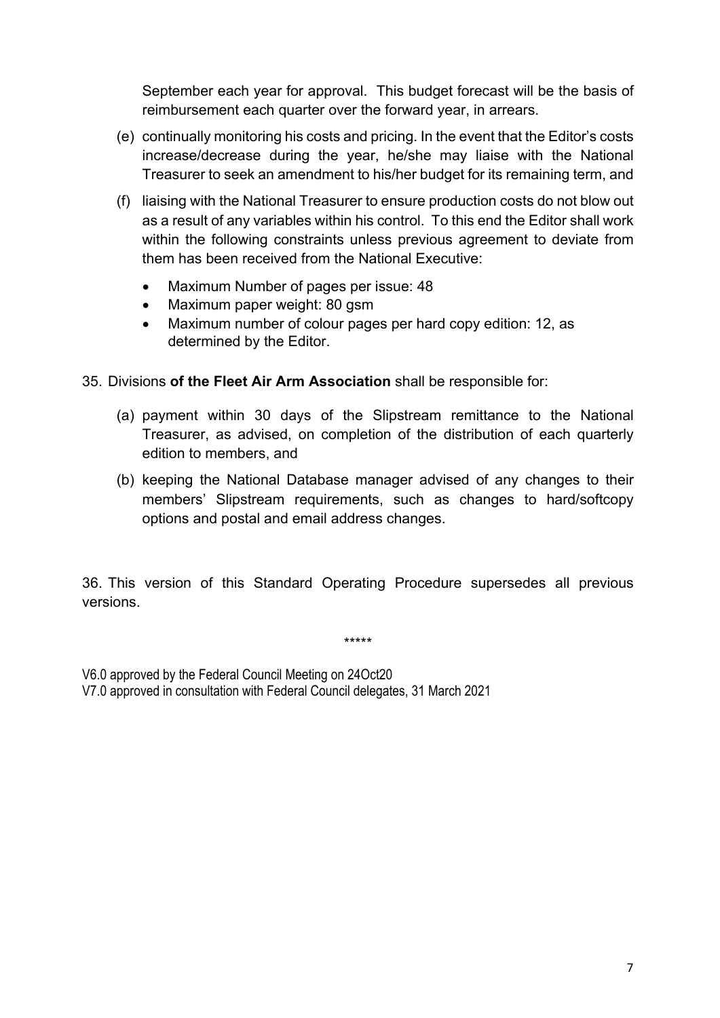September each year for approval. This budget forecast will be the basis of reimbursement each quarter over the forward year, in arrears.

- (e) continually monitoring his costs and pricing. In the event that the Editor's costs increase/decrease during the year, he/she may liaise with the National Treasurer to seek an amendment to his/her budget for its remaining term, and
- (f) liaising with the National Treasurer to ensure production costs do not blow out as a result of any variables within his control. To this end the Editor shall work within the following constraints unless previous agreement to deviate from them has been received from the National Executive:
	- Maximum Number of pages per issue: 48
	- Maximum paper weight: 80 gsm
	- Maximum number of colour pages per hard copy edition: 12, as determined by the Editor.

### 35. Divisions **of the Fleet Air Arm Association** shall be responsible for:

- (a) payment within 30 days of the Slipstream remittance to the National Treasurer, as advised, on completion of the distribution of each quarterly edition to members, and
- (b) keeping the National Database manager advised of any changes to their members' Slipstream requirements, such as changes to hard/softcopy options and postal and email address changes.

36. This version of this Standard Operating Procedure supersedes all previous versions.

\*\*\*\*\*

V6.0 approved by the Federal Council Meeting on 24Oct20

V7.0 approved in consultation with Federal Council delegates, 31 March 2021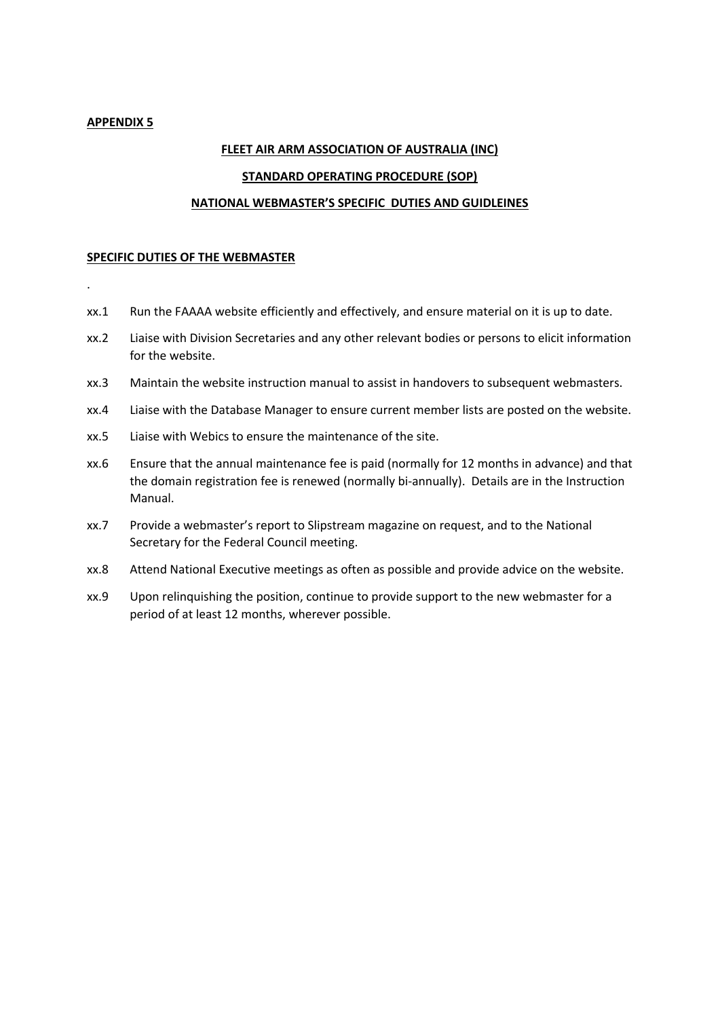#### **APPENDIX 5**

.

### **FLEET AIR ARM ASSOCIATION OF AUSTRALIA (INC)**

#### **STANDARD OPERATING PROCEDURE (SOP)**

#### **NATIONAL WEBMASTER'S SPECIFIC DUTIES AND GUIDLEINES**

#### **SPECIFIC DUTIES OF THE WEBMASTER**

- xx.1 Run the FAAAA website efficiently and effectively, and ensure material on it is up to date.
- xx.2 Liaise with Division Secretaries and any other relevant bodies or persons to elicit information for the website.
- xx.3 Maintain the website instruction manual to assist in handovers to subsequent webmasters.
- xx.4 Liaise with the Database Manager to ensure current member lists are posted on the website.
- xx.5 Liaise with Webics to ensure the maintenance of the site.
- xx.6 Ensure that the annual maintenance fee is paid (normally for 12 months in advance) and that the domain registration fee is renewed (normally bi-annually). Details are in the Instruction Manual.
- xx.7 Provide a webmaster's report to Slipstream magazine on request, and to the National Secretary for the Federal Council meeting.
- xx.8 Attend National Executive meetings as often as possible and provide advice on the website.
- xx.9 Upon relinquishing the position, continue to provide support to the new webmaster for a period of at least 12 months, wherever possible.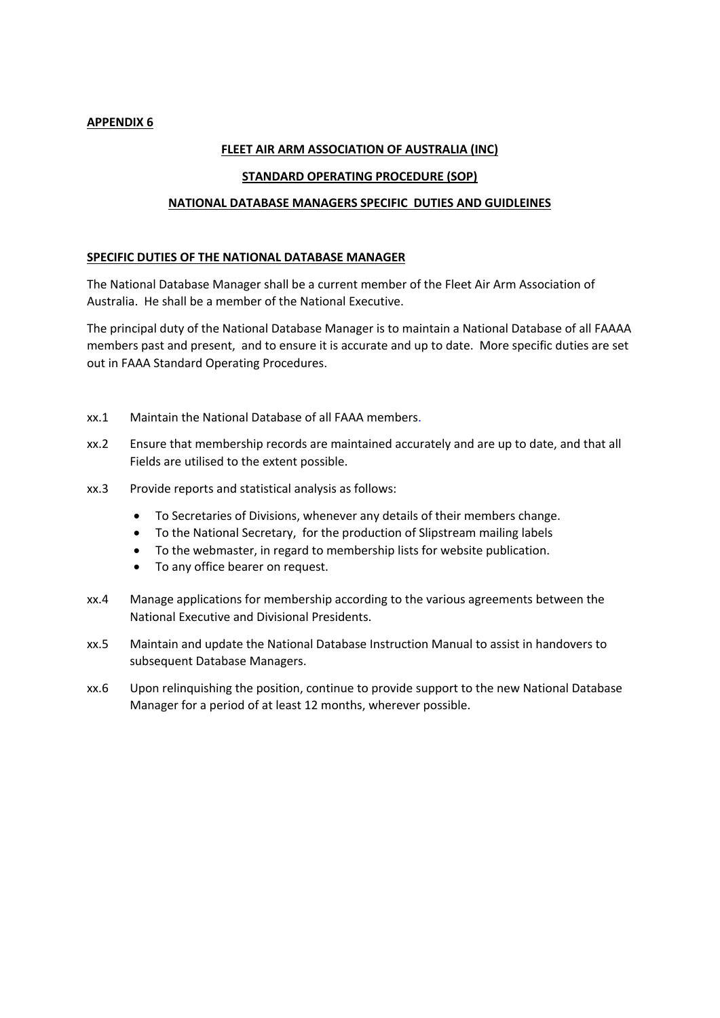### **APPENDIX 6**

#### **FLEET AIR ARM ASSOCIATION OF AUSTRALIA (INC)**

#### **STANDARD OPERATING PROCEDURE (SOP)**

#### **NATIONAL DATABASE MANAGERS SPECIFIC DUTIES AND GUIDLEINES**

#### **SPECIFIC DUTIES OF THE NATIONAL DATABASE MANAGER**

The National Database Manager shall be a current member of the Fleet Air Arm Association of Australia. He shall be a member of the National Executive.

The principal duty of the National Database Manager is to maintain a National Database of all FAAAA members past and present, and to ensure it is accurate and up to date. More specific duties are set out in FAAA Standard Operating Procedures.

- xx.1 Maintain the National Database of all FAAA members.
- xx.2 Ensure that membership records are maintained accurately and are up to date, and that all Fields are utilised to the extent possible.
- xx.3 Provide reports and statistical analysis as follows:
	- To Secretaries of Divisions, whenever any details of their members change.
	- To the National Secretary, for the production of Slipstream mailing labels
	- To the webmaster, in regard to membership lists for website publication.
	- To any office bearer on request.
- xx.4 Manage applications for membership according to the various agreements between the National Executive and Divisional Presidents.
- xx.5 Maintain and update the National Database Instruction Manual to assist in handovers to subsequent Database Managers.
- xx.6 Upon relinquishing the position, continue to provide support to the new National Database Manager for a period of at least 12 months, wherever possible.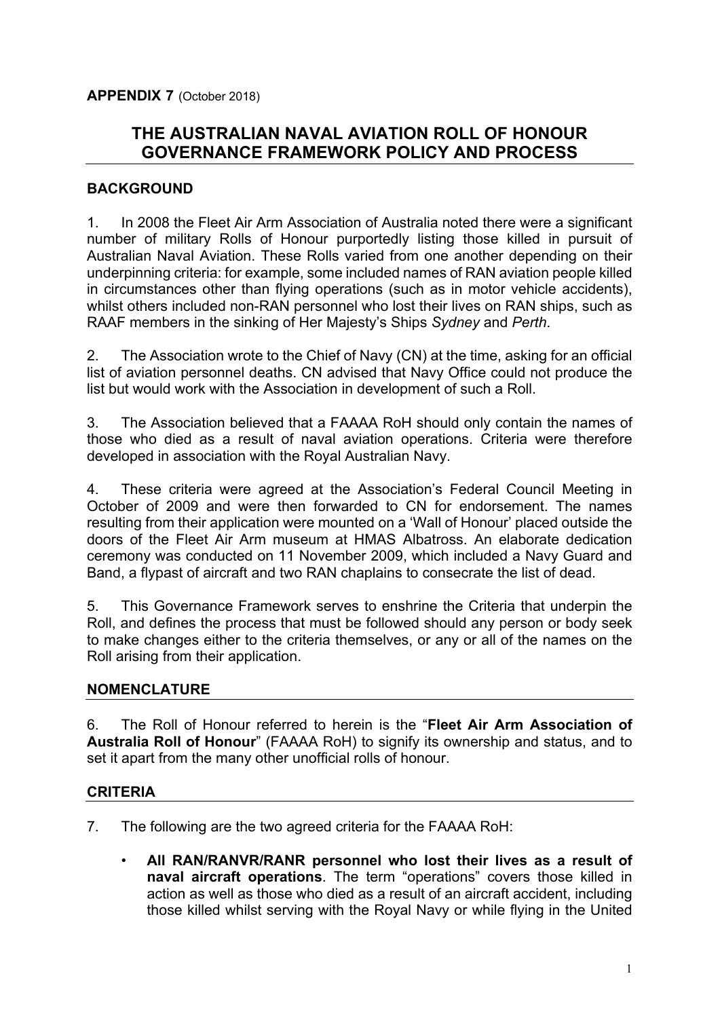# **THE AUSTRALIAN NAVAL AVIATION ROLL OF HONOUR GOVERNANCE FRAMEWORK POLICY AND PROCESS**

## **BACKGROUND**

1. In 2008 the Fleet Air Arm Association of Australia noted there were a significant number of military Rolls of Honour purportedly listing those killed in pursuit of Australian Naval Aviation. These Rolls varied from one another depending on their underpinning criteria: for example, some included names of RAN aviation people killed in circumstances other than flying operations (such as in motor vehicle accidents), whilst others included non-RAN personnel who lost their lives on RAN ships, such as RAAF members in the sinking of Her Majesty's Ships *Sydney* and *Perth*.

2. The Association wrote to the Chief of Navy (CN) at the time, asking for an official list of aviation personnel deaths. CN advised that Navy Office could not produce the list but would work with the Association in development of such a Roll.

3. The Association believed that a FAAAA RoH should only contain the names of those who died as a result of naval aviation operations. Criteria were therefore developed in association with the Royal Australian Navy.

4. These criteria were agreed at the Association's Federal Council Meeting in October of 2009 and were then forwarded to CN for endorsement. The names resulting from their application were mounted on a 'Wall of Honour' placed outside the doors of the Fleet Air Arm museum at HMAS Albatross. An elaborate dedication ceremony was conducted on 11 November 2009, which included a Navy Guard and Band, a flypast of aircraft and two RAN chaplains to consecrate the list of dead.

5. This Governance Framework serves to enshrine the Criteria that underpin the Roll, and defines the process that must be followed should any person or body seek to make changes either to the criteria themselves, or any or all of the names on the Roll arising from their application.

# **NOMENCLATURE**

6. The Roll of Honour referred to herein is the "**Fleet Air Arm Association of Australia Roll of Honour**" (FAAAA RoH) to signify its ownership and status, and to set it apart from the many other unofficial rolls of honour.

### **CRITERIA**

- 7. The following are the two agreed criteria for the FAAAA RoH:
	- **All RAN/RANVR/RANR personnel who lost their lives as a result of naval aircraft operations**. The term "operations" covers those killed in action as well as those who died as a result of an aircraft accident, including those killed whilst serving with the Royal Navy or while flying in the United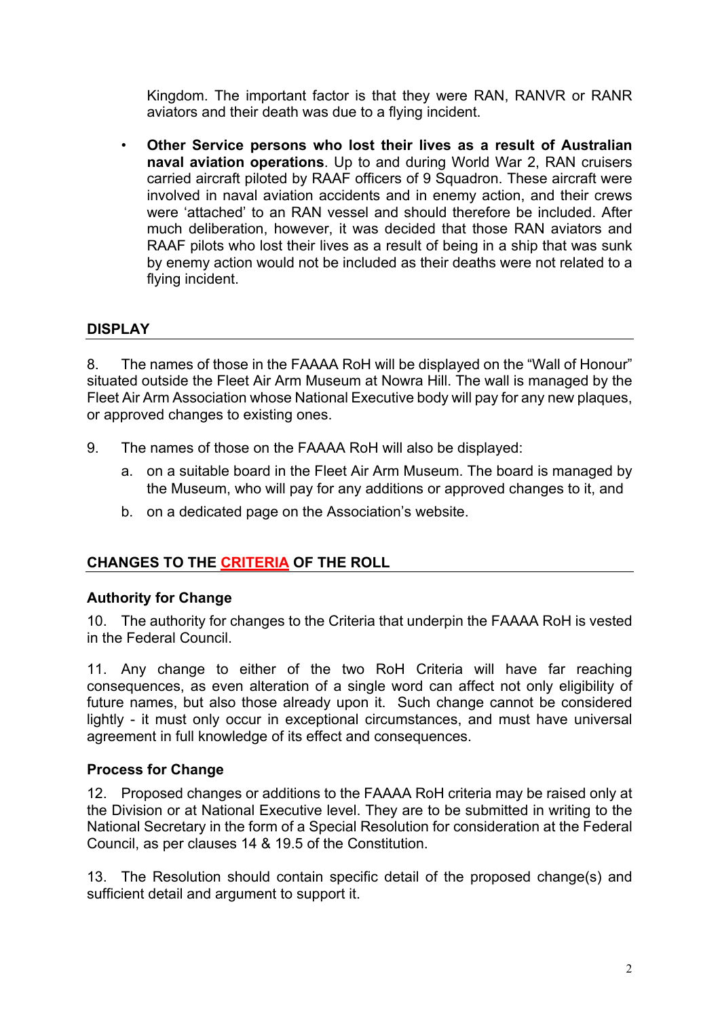Kingdom. The important factor is that they were RAN, RANVR or RANR aviators and their death was due to a flying incident.

• **Other Service persons who lost their lives as a result of Australian naval aviation operations**. Up to and during World War 2, RAN cruisers carried aircraft piloted by RAAF officers of 9 Squadron. These aircraft were involved in naval aviation accidents and in enemy action, and their crews were 'attached' to an RAN vessel and should therefore be included. After much deliberation, however, it was decided that those RAN aviators and RAAF pilots who lost their lives as a result of being in a ship that was sunk by enemy action would not be included as their deaths were not related to a flying incident.

# **DISPLAY**

8. The names of those in the FAAAA RoH will be displayed on the "Wall of Honour" situated outside the Fleet Air Arm Museum at Nowra Hill. The wall is managed by the Fleet Air Arm Association whose National Executive body will pay for any new plaques, or approved changes to existing ones.

- 9. The names of those on the FAAAA RoH will also be displayed:
	- a. on a suitable board in the Fleet Air Arm Museum. The board is managed by the Museum, who will pay for any additions or approved changes to it, and
	- b. on a dedicated page on the Association's website.

# **CHANGES TO THE CRITERIA OF THE ROLL**

### **Authority for Change**

10. The authority for changes to the Criteria that underpin the FAAAA RoH is vested in the Federal Council.

11. Any change to either of the two RoH Criteria will have far reaching consequences, as even alteration of a single word can affect not only eligibility of future names, but also those already upon it. Such change cannot be considered lightly - it must only occur in exceptional circumstances, and must have universal agreement in full knowledge of its effect and consequences.

### **Process for Change**

12. Proposed changes or additions to the FAAAA RoH criteria may be raised only at the Division or at National Executive level. They are to be submitted in writing to the National Secretary in the form of a Special Resolution for consideration at the Federal Council, as per clauses 14 & 19.5 of the Constitution.

13. The Resolution should contain specific detail of the proposed change(s) and sufficient detail and argument to support it.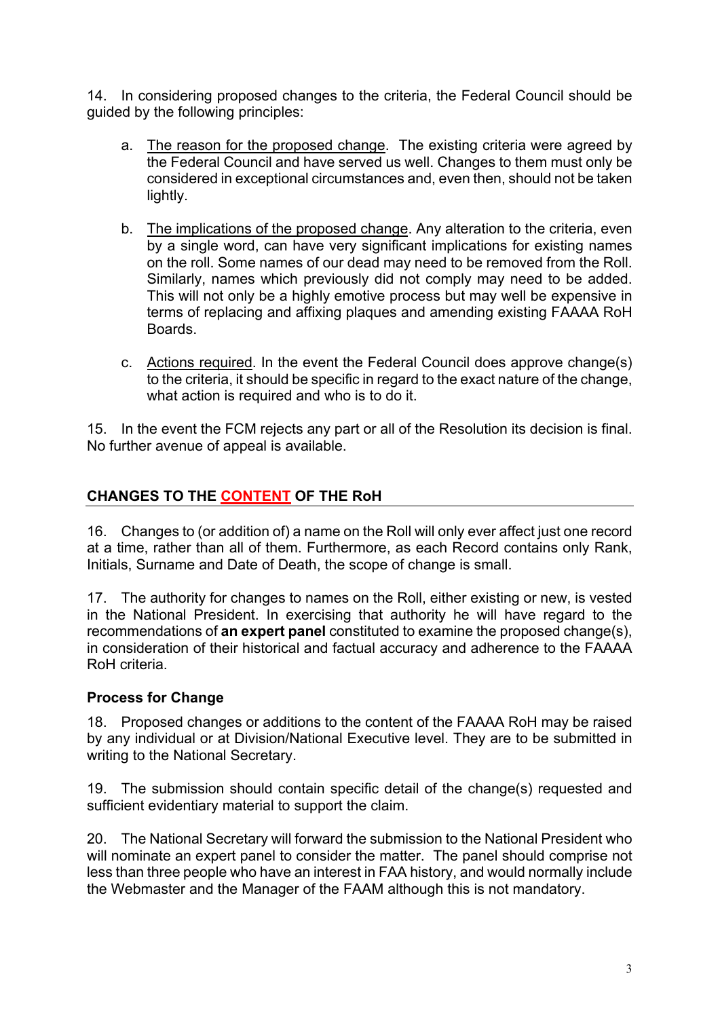14. In considering proposed changes to the criteria, the Federal Council should be guided by the following principles:

- a. The reason for the proposed change. The existing criteria were agreed by the Federal Council and have served us well. Changes to them must only be considered in exceptional circumstances and, even then, should not be taken lightly.
- b. The implications of the proposed change. Any alteration to the criteria, even by a single word, can have very significant implications for existing names on the roll. Some names of our dead may need to be removed from the Roll. Similarly, names which previously did not comply may need to be added. This will not only be a highly emotive process but may well be expensive in terms of replacing and affixing plaques and amending existing FAAAA RoH Boards.
- c. Actions required. In the event the Federal Council does approve change(s) to the criteria, it should be specific in regard to the exact nature of the change, what action is required and who is to do it.

15. In the event the FCM rejects any part or all of the Resolution its decision is final. No further avenue of appeal is available.

# **CHANGES TO THE CONTENT OF THE RoH**

16. Changes to (or addition of) a name on the Roll will only ever affect just one record at a time, rather than all of them. Furthermore, as each Record contains only Rank, Initials, Surname and Date of Death, the scope of change is small.

17. The authority for changes to names on the Roll, either existing or new, is vested in the National President. In exercising that authority he will have regard to the recommendations of **an expert panel** constituted to examine the proposed change(s), in consideration of their historical and factual accuracy and adherence to the FAAAA RoH criteria.

# **Process for Change**

18. Proposed changes or additions to the content of the FAAAA RoH may be raised by any individual or at Division/National Executive level. They are to be submitted in writing to the National Secretary.

19. The submission should contain specific detail of the change(s) requested and sufficient evidentiary material to support the claim.

20. The National Secretary will forward the submission to the National President who will nominate an expert panel to consider the matter. The panel should comprise not less than three people who have an interest in FAA history, and would normally include the Webmaster and the Manager of the FAAM although this is not mandatory.